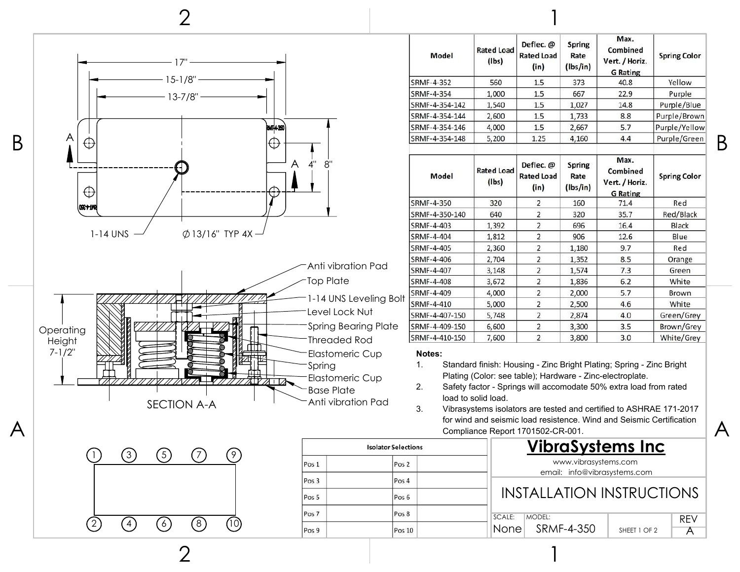

| $\mathbf{L}$ | 3' | (5) | $\langle \ \rangle$ |    |
|--------------|----|-----|---------------------|----|
|              |    |     |                     |    |
|              |    |     |                     |    |
| (2)          | 4  | (6) | (8)                 | 10 |

2

|                  | <b>Isolator Selections</b> |  |
|------------------|----------------------------|--|
| Pos 1            | Pos <sub>2</sub>           |  |
| Pos <sub>3</sub> | Pos 4                      |  |
| Pos <sub>5</sub> | Pos <sub>6</sub>           |  |
| Pos <sub>7</sub> | Pos <sub>8</sub>           |  |
| Pos 9            | Pos 10                     |  |

| Model          | <b>Rated Load</b><br>$($ lbs $)$ | Deflec. @<br><b>Rated Load</b><br>(in) | <b>Spring</b><br>Rate<br>(lbs/in) | Max.<br>Combined<br>Vert. / Horiz.<br><b>G</b> Rating | <b>Spring Color</b> |
|----------------|----------------------------------|----------------------------------------|-----------------------------------|-------------------------------------------------------|---------------------|
| SRMF-4-352     | 560                              | 1.5                                    | 373                               | 40.8                                                  | Yellow              |
| SRMF-4-354     | 1,000                            | 1.5                                    | 667                               | 22.9                                                  | Purple              |
| SRMF-4-354-142 | 1,540                            | 1.5                                    | 1,027                             | 14.8                                                  | Purple/Blue         |
| SRMF-4-354-144 | 2,600                            | 1.5                                    | 1,733                             | 8.8                                                   | Purple/Brown        |
| SRMF-4-354-146 | 4.000                            | 1.5                                    | 2,667                             | 5.7                                                   | Purple/Yellow       |
| SRMF-4-354-148 | 5,200                            | 1.25                                   | 4,160                             | 4.4                                                   | Purple/Green        |
| Model          | <b>Rated Load</b><br>(lbs)       | Deflec. @<br><b>Rated Load</b><br>(in) | <b>Spring</b><br>Rate<br>(lbs/in) | Max.<br>Combined<br>Vert. / Horiz.<br><b>G</b> Rating | <b>Spring Color</b> |
| SRMF-4-350     | 320                              | $\overline{2}$                         | 160                               | 71.4                                                  | Red                 |
| SRMF-4-350-140 | 640                              | $\overline{\mathbf{c}}$                | 320                               | 35.7                                                  | Red/Black           |
| SRMF-4-403     | 1,392                            | $\overline{2}$                         | 696                               | 16.4                                                  | Black               |
| SRMF-4-404     | 1,812                            | $\overline{2}$                         | 906                               | 12.6                                                  | Blue                |
| SRMF-4-405     | 2,360                            | $\overline{2}$                         | 1,180                             | 9.7                                                   | Red                 |
| SRMF-4-406     | 2,704                            | $\overline{\mathbf{2}}$                | 1,352                             | 8.5                                                   | Orange              |
| SRMF-4-407     | 3,148                            | $\overline{\mathbf{c}}$                | 1,574                             | 7.3                                                   | Green               |
| SRMF-4-408     | 3,672                            | $\overline{2}$                         | 1,836                             | 6.2                                                   | White               |
| SRMF-4-409     | 4,000                            | $\overline{2}$                         | 2,000                             | 5.7                                                   | Brown               |
| SRMF-4-410     | 5,000                            | $\overline{2}$                         | 2,500                             | 4.6                                                   | White               |
| SRMF-4-407-150 | 5,748                            | $\overline{2}$                         | 2,874                             | 4.0                                                   | Green/Grey          |
| SRMF-4-409-150 | 6,600                            | $\overline{2}$                         | 3,300                             | 3.5                                                   | Brown/Grey          |
| SRMF-4-410-150 | 7,600                            | $\overline{2}$                         | 3,800                             | 3.0                                                   | White/Grey          |

## **Notes:**

- 1. Standard finish: Housing Zinc Bright Plating; Spring Zinc Bright Plating (Color: see table); Hardware - Zinc-electroplate.
- 2. Safety factor Springs will accomodate 50% extra load from rated load to solid load.
- 3. Vibrasystems isolators are tested and certified to ASHRAE 171-2017 for wind and seismic load resistence. Wind and Seismic Certification

1

## **VibraSystems Inc**

www.vibrasystems.com email: info@vibrasystems.com

## INSTALLATION INSTRUCTIONS

| SCALE: | IMODEL:         |              | <b>RFV</b> |
|--------|-----------------|--------------|------------|
|        | None SRMF-4-350 | SHEET 1 OF 2 |            |